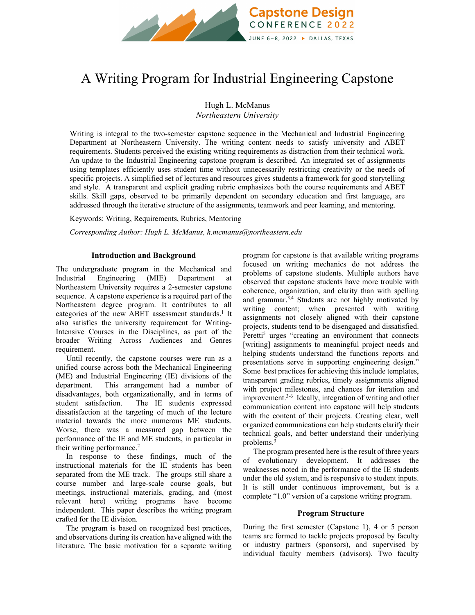

# A Writing Program for Industrial Engineering Capstone

Hugh L. McManus

*Northeastern University*

Writing is integral to the two-semester capstone sequence in the Mechanical and Industrial Engineering Department at Northeastern University. The writing content needs to satisfy university and ABET requirements. Students perceived the existing writing requirements as distraction from their technical work. An update to the Industrial Engineering capstone program is described. An integrated set of assignments using templates efficiently uses student time without unnecessarily restricting creativity or the needs of specific projects. A simplified set of lectures and resources gives students a framework for good storytelling and style. A transparent and explicit grading rubric emphasizes both the course requirements and ABET skills. Skill gaps, observed to be primarily dependent on secondary education and first language, are addressed through the iterative structure of the assignments, teamwork and peer learning, and mentoring.

Keywords: Writing, Requirements, Rubrics, Mentoring

*Corresponding Author: Hugh L. McManus, h.mcmanus@northeastern.edu*

## **Introduction and Background**

The undergraduate program in the Mechanical and Industrial Engineering (MIE) Department at Northeastern University requires a 2-semester capstone sequence. A capstone experience is a required part of the Northeastern degree program. It contributes to all categories of the new ABET assessment standards.<sup>1</sup> It also satisfies the university requirement for Writing-Intensive Courses in the Disciplines, as part of the broader Writing Across Audiences and Genres requirement.

Until recently, the capstone courses were run as a unified course across both the Mechanical Engineering (ME) and Industrial Engineering (IE) divisions of the department. This arrangement had a number of disadvantages, both organizationally, and in terms of student satisfaction. The IE students expressed dissatisfaction at the targeting of much of the lecture material towards the more numerous ME students. Worse, there was a measured gap between the performance of the IE and ME students, in particular in their writing performance.<sup>2</sup>

In response to these findings, much of the instructional materials for the IE students has been separated from the ME track. The groups still share a course number and large-scale course goals, but meetings, instructional materials, grading, and (most relevant here) writing programs have become independent. This paper describes the writing program crafted for the IE division.

The program is based on recognized best practices, and observations during its creation have aligned with the literature. The basic motivation for a separate writing program for capstone is that available writing programs focused on writing mechanics do not address the problems of capstone students. Multiple authors have observed that capstone students have more trouble with coherence, organization, and clarity than with spelling and grammar.<sup>3,4</sup> Students are not highly motivated by writing content; when presented with writing assignments not closely aligned with their capstone projects, students tend to be disengaged and dissatisfied. Peretti<sup>5</sup> urges "creating an environment that connects [writing] assignments to meaningful project needs and helping students understand the functions reports and presentations serve in supporting engineering design." Some best practices for achieving this include templates, transparent grading rubrics, timely assignments aligned with project milestones, and chances for iteration and improvement.3-6 Ideally, integration of writing and other communication content into capstone will help students with the content of their projects. Creating clear, well organized communications can help students clarify their technical goals, and better understand their underlying problems.<sup>3</sup>

The program presented here is the result of three years of evolutionary development. It addresses the weaknesses noted in the performance of the IE students under the old system, and is responsive to student inputs. It is still under continuous improvement, but is a complete "1.0" version of a capstone writing program.

## **Program Structure**

During the first semester (Capstone 1), 4 or 5 person teams are formed to tackle projects proposed by faculty or industry partners (sponsors), and supervised by individual faculty members (advisors). Two faculty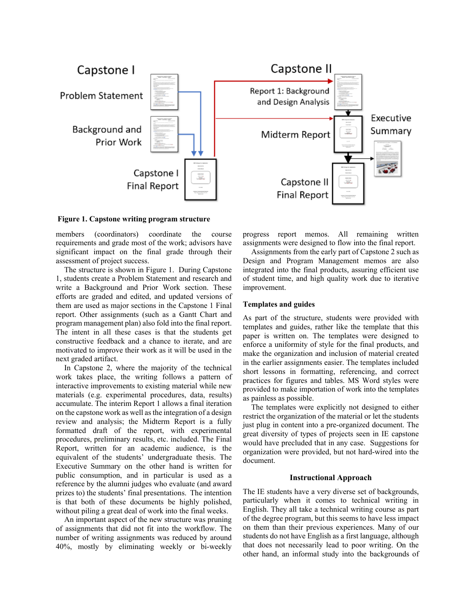

**Figure 1. Capstone writing program structure** 

members (coordinators) coordinate the course requirements and grade most of the work; advisors have significant impact on the final grade through their assessment of project success.

The structure is shown in Figure 1. During Capstone 1, students create a Problem Statement and research and write a Background and Prior Work section. These efforts are graded and edited, and updated versions of them are used as major sections in the Capstone 1 Final report. Other assignments (such as a Gantt Chart and program management plan) also fold into the final report. The intent in all these cases is that the students get constructive feedback and a chance to iterate, and are motivated to improve their work as it will be used in the next graded artifact.

In Capstone 2, where the majority of the technical work takes place, the writing follows a pattern of interactive improvements to existing material while new materials (e.g. experimental procedures, data, results) accumulate. The interim Report 1 allows a final iteration on the capstone work as well as the integration of a design review and analysis; the Midterm Report is a fully formatted draft of the report, with experimental procedures, preliminary results, etc. included. The Final Report, written for an academic audience, is the equivalent of the students' undergraduate thesis. The Executive Summary on the other hand is written for public consumption, and in particular is used as a reference by the alumni judges who evaluate (and award prizes to) the students' final presentations. The intention is that both of these documents be highly polished, without piling a great deal of work into the final weeks.

An important aspect of the new structure was pruning of assignments that did not fit into the workflow. The number of writing assignments was reduced by around 40%, mostly by eliminating weekly or bi-weekly progress report memos. All remaining written assignments were designed to flow into the final report.

Assignments from the early part of Capstone 2 such as Design and Program Management memos are also integrated into the final products, assuring efficient use of student time, and high quality work due to iterative improvement.

#### **Templates and guides**

As part of the structure, students were provided with templates and guides, rather like the template that this paper is written on. The templates were designed to enforce a uniformity of style for the final products, and make the organization and inclusion of material created in the earlier assignments easier. The templates included short lessons in formatting, referencing, and correct practices for figures and tables. MS Word styles were provided to make importation of work into the templates as painless as possible.

The templates were explicitly not designed to either restrict the organization of the material or let the students just plug in content into a pre-organized document. The great diversity of types of projects seen in IE capstone would have precluded that in any case. Suggestions for organization were provided, but not hard-wired into the document.

## **Instructional Approach**

The IE students have a very diverse set of backgrounds, particularly when it comes to technical writing in English. They all take a technical writing course as part of the degree program, but this seems to have less impact on them than their previous experiences. Many of our students do not have English as a first language, although that does not necessarily lead to poor writing. On the other hand, an informal study into the backgrounds of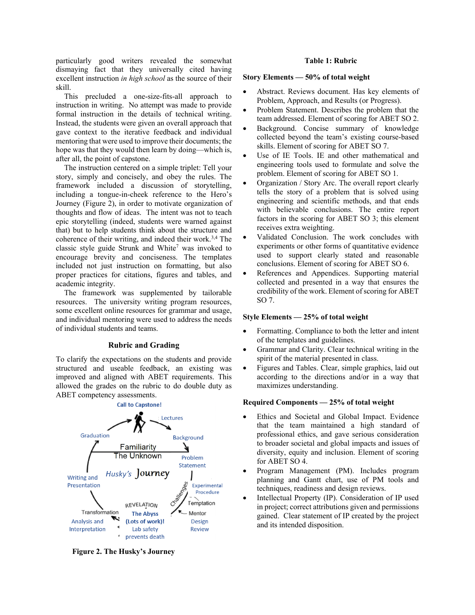particularly good writers revealed the somewhat dismaying fact that they universally cited having excellent instruction *in high school* as the source of their skill.

This precluded a one-size-fits-all approach to instruction in writing. No attempt was made to provide formal instruction in the details of technical writing. Instead, the students were given an overall approach that gave context to the iterative feedback and individual mentoring that were used to improve their documents; the hope was that they would then learn by doing—which is, after all, the point of capstone.

The instruction centered on a simple triplet: Tell your story, simply and concisely, and obey the rules. The framework included a discussion of storytelling, including a tongue-in-cheek reference to the Hero's Journey (Figure 2), in order to motivate organization of thoughts and flow of ideas. The intent was not to teach epic storytelling (indeed, students were warned against that) but to help students think about the structure and coherence of their writing, and indeed their work.3,4 The classic style guide Strunk and White<sup>7</sup> was invoked to encourage brevity and conciseness. The templates included not just instruction on formatting, but also proper practices for citations, figures and tables, and academic integrity.

The framework was supplemented by tailorable resources. The university writing program resources, some excellent online resources for grammar and usage, and individual mentoring were used to address the needs of individual students and teams.

## **Rubric and Grading**

To clarify the expectations on the students and provide structured and useable feedback, an existing was improved and aligned with ABET requirements. This allowed the grades on the rubric to do double duty as ABET competency assessments.



**Figure 2. The Husky's Journey** 

## **Table 1: Rubric**

## **Story Elements — 50% of total weight**

- Abstract. Reviews document. Has key elements of Problem, Approach, and Results (or Progress).
- Problem Statement. Describes the problem that the team addressed. Element of scoring for ABET SO 2.
- Background. Concise summary of knowledge collected beyond the team's existing course-based skills. Element of scoring for ABET SO 7.
- Use of IE Tools. IE and other mathematical and engineering tools used to formulate and solve the problem. Element of scoring for ABET SO 1.
- Organization / Story Arc. The overall report clearly tells the story of a problem that is solved using engineering and scientific methods, and that ends with believable conclusions. The entire report factors in the scoring for ABET SO 3; this element receives extra weighting.
- Validated Conclusion. The work concludes with experiments or other forms of quantitative evidence used to support clearly stated and reasonable conclusions. Element of scoring for ABET SO 6.
- References and Appendices. Supporting material collected and presented in a way that ensures the credibility of the work. Element of scoring for ABET SO 7.

## **Style Elements — 25% of total weight**

- Formatting. Compliance to both the letter and intent of the templates and guidelines.
- Grammar and Clarity. Clear technical writing in the spirit of the material presented in class.
- Figures and Tables. Clear, simple graphics, laid out according to the directions and/or in a way that maximizes understanding.

## **Required Components — 25% of total weight**

- Ethics and Societal and Global Impact. Evidence that the team maintained a high standard of professional ethics, and gave serious consideration to broader societal and global impacts and issues of diversity, equity and inclusion. Element of scoring for ABET SO 4.
- Program Management (PM). Includes program planning and Gantt chart, use of PM tools and techniques, readiness and design reviews.
- Intellectual Property (IP). Consideration of IP used in project; correct attributions given and permissions gained. Clear statement of IP created by the project and its intended disposition.